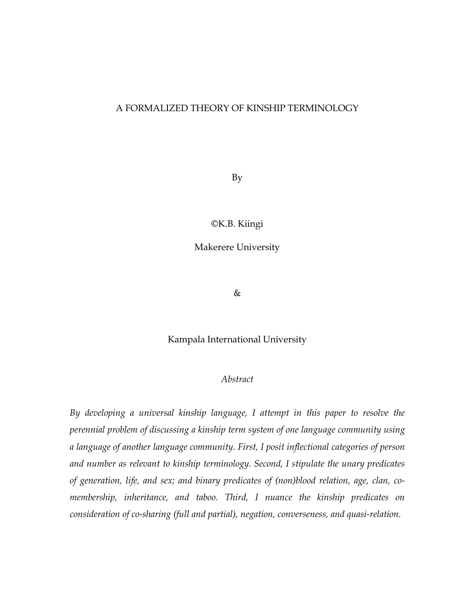## A FORMALIZED THEORY OF KINSHIP TERMINOLOGY

By

©K.B. Kiingi

Makerere University

&

Kampala International University

#### *Abstract*

*By developing a universal kinship language, I attempt in this paper to resolve the perennial problem of discussing a kinship term system of one language community using a language of another language community. First, I posit inflectional categories of person and number as relevant to kinship terminology. Second, I stipulate the unary predicates of generation, life, and sex; and binary predicates of (non)blood relation, age, clan, comembership, inheritance, and taboo. Third, I nuance the kinship predicates on consideration of co-sharing (full and partial), negation, converseness, and quasi-relation.*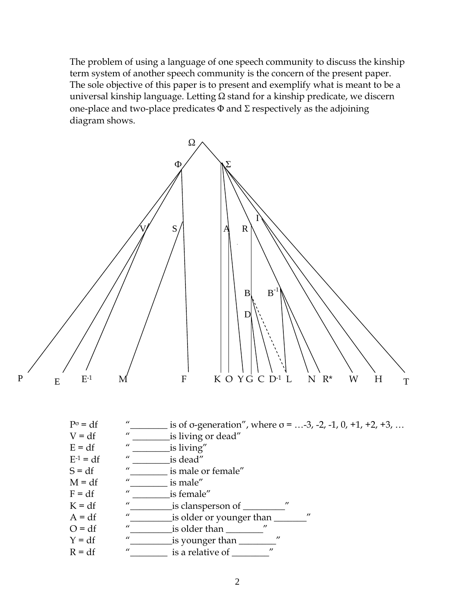The problem of using a language of one speech community to discuss the kinship term system of another speech community is the concern of the present paper. The sole objective of this paper is to present and exemplify what is meant to be a universal kinship language. Letting Ω stand for a kinship predicate, we discern one-place and two-place predicates  $\Phi$  and  $\Sigma$  respectively as the adjoining diagram shows.

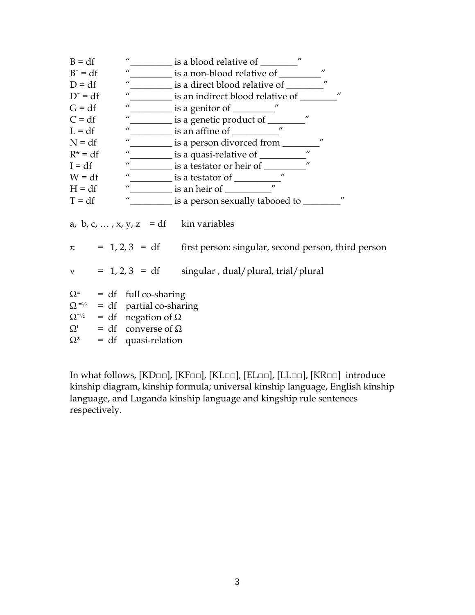| $B = df$   | $\boldsymbol{\mu}$                               | is a blood relative of <u>show a</u> set of the set of the set of the set of the set of the set of the set of the set o |
|------------|--------------------------------------------------|-------------------------------------------------------------------------------------------------------------------------|
| $B^- = df$ | $\overline{u}$                                   | $^{\prime\prime}$<br>$\__$ is a non-blood relative of $\__$                                                             |
| $D = df$   | $\mathbf{u}$                                     | $\prime$                                                                                                                |
| $D^- = df$ | $\mu$                                            | $\boldsymbol{\eta}$<br>$\__$ is an indirect blood relative of $\__$                                                     |
| $G = df$   | $\boldsymbol{\mu}$                               | $\frac{1}{\sqrt{2}}$ is a genitor of $\frac{1}{\sqrt{2}}$                                                               |
| $C = df$   | $\boldsymbol{u}$                                 | $\prime\prime$<br><u>sa genetic</u> product of same is a genetic product of same is a genetic product.                  |
| $L = df$   | $\boldsymbol{\mu}$                               | $^{\prime\prime}$<br>$\frac{1}{\sqrt{1-\frac{1}{2}}}\$ is an affine of $\frac{1}{\sqrt{1-\frac{1}{2}}}\$                |
| $N = df$   | $\boldsymbol{\mu}$                               | $^{\prime\prime}$                                                                                                       |
| $R^* = df$ | $\boldsymbol{\mu}$                               | $^{\prime\prime}$                                                                                                       |
| $I = df$   | $\boldsymbol{\mu}$                               | $^{\prime\prime}$<br>$\equiv$ is a testator or heir of $\equiv$                                                         |
| $W = df$   | $\boldsymbol{\mu}$                               | $\frac{1}{\sqrt{1-\frac{1}{2}}}\text{ is a testator of }$                                                               |
| $H = df$   | $\boldsymbol{u}$                                 | $\frac{1}{\sqrt{2}}$ is an heir of $\frac{1}{\sqrt{2}}$                                                                 |
| $T = df$   | $\boldsymbol{u}$                                 | $^{\prime\prime}$<br>is a person sexually tabooed to _______                                                            |
|            |                                                  | a, b, c, , x, y, z = df kin variables                                                                                   |
|            |                                                  | $\pi$ = 1, 2, 3 = df first person: singular, second person, third person                                                |
|            |                                                  | $v = 1, 2, 3 = df$ singular, dual/plural, trial/plural                                                                  |
| Ω=         | $= df$ full co-sharing                           |                                                                                                                         |
|            | $\Omega$ <sup>=1/2</sup> = df partial co-sharing |                                                                                                                         |
|            | $\Omega^{-1/2}$ = df negation of $\Omega$        |                                                                                                                         |
|            | $\Omega'$ = df converse of $\Omega$              |                                                                                                                         |
| $\Omega^*$ | $= df$ quasi-relation                            |                                                                                                                         |

In what follows, [KD□□], [KF□□], [KL□□], [EL□□], [LL□□], [KR□□] introduce kinship diagram, kinship formula; universal kinship language, English kinship language, and Luganda kinship language and kingship rule sentences respectively.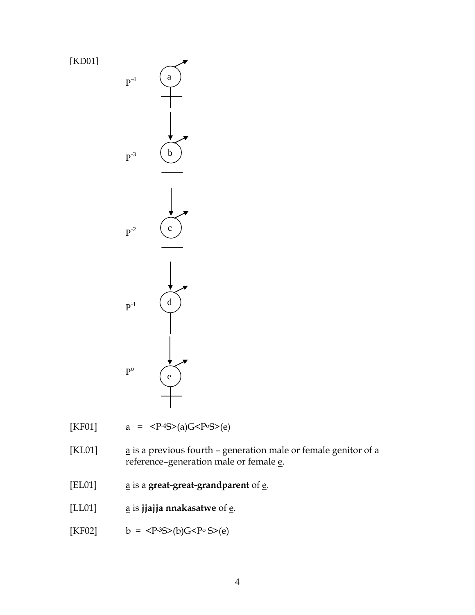[KD01]



[KF01]  $a = <sup>-4</sup>S>(a)G<P°S>(e)$ 

[KL01]  $\qquad \qquad \underline{a}$  is a previous fourth – generation male or female genitor of a reference–generation male or female  $\underline{e}$ .

- [EL01] a is a **great-great-grandparent** of e.
- [LL01] **a** is **jjajja nnakasatwe** of **<u>e</u></u>.**
- [KF02]  $b = **P**<sup>3</sup>**S**>(b)**G**P**<sup>0</sup>**S**>(e)**$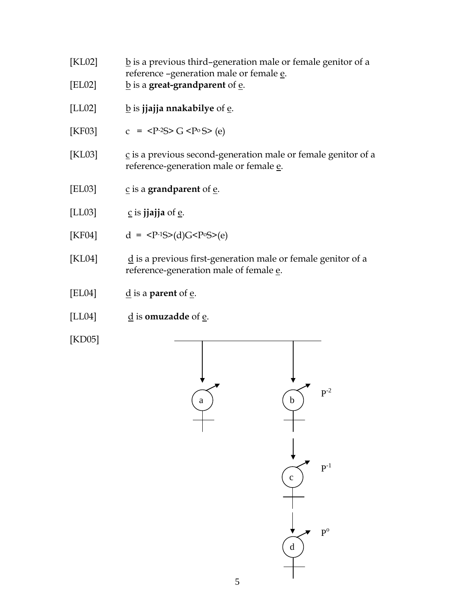- [KL02]  $\underline{b}$  is a previous third–generation male or female genitor of a reference –generation male or female e.
- [EL02] **b** is a **great-grandparent** of **e**.
- [LL02] **b** is **jjajja nnakabilye** of **e**.
- [KF03]  $c =  G < P^0 S > (e)$
- [KL03] c is a previous second-generation male or female genitor of a reference-generation male or female e.
- [EL03]  $\frac{c}{2}$  is a **grandparent** of <u>e</u>.
- $[LL03]$  c is **jiajja** of e.
- [KF04]  $d = (d)G<sup>C</sup>(e)$
- [KL04]  $\dot{d}$  is a previous first-generation male or female genitor of a reference-generation male of female e.
- [EL04]  $\frac{d}{dx}$  is a **parent** of  $\frac{e}{dx}$ .
- [LL04]  $\frac{d}{d}$  is **omuzadde** of  $\frac{e}{d}$ .

[KD05]

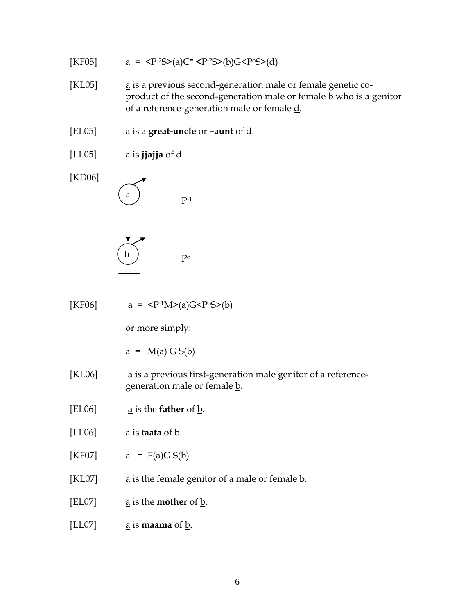[KF05]   
\na = 
$$
\langle P^{2}S\rangle(a)C = \langle P^{2}S\rangle(b)G\langle P^{6}S\rangle(d)
$$
  
\n[K1.05]   
\na is a previous second-generation male or female genetic co-  
\nproduct of the second-generation male or female d.  
\n[E1.05]   
\na is **signal** or **–a** and of d.  
\n[KD06]   
\na is **ijajja** of d.  
\n[KF06]   
\na =  $\langle P^{2}1M\rangle(a)G\langle P^{6}S\rangle(b)$   
\nor more simply:  
\na =  $M(a) G S(b)$   
\n[K1.06]   
\na is a previous first-generation male genitor of a reference-  
\ngeneration male or female b.  
\n[EL06]   
\na is that of b.  
\n[LC07]   
\na is the **father** of b.  
\n[KL07]   
\na is the **model** genitor of a male or female b.  
\n[LD07]   
\na is the **mother** of b.  
\n[LD07]   
\na is **mean** of b.  
\na is **mean** of b.  
\na is **mean** of b.  
\na is **mean** of b.  
\na is **mean** of b.  
\na is **mean** of b.  
\na is **mean** of b.  
\na is **mean** of b.  
\na is **mean** of b.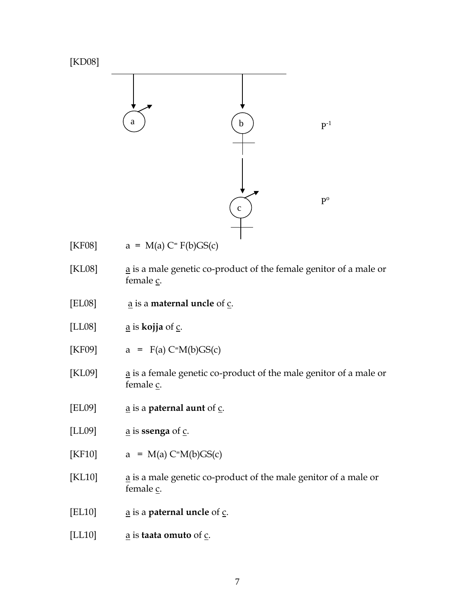

[LL10]  $\qquad \qquad \underline{a}$  is **taata omuto** of  $\underline{c}$ .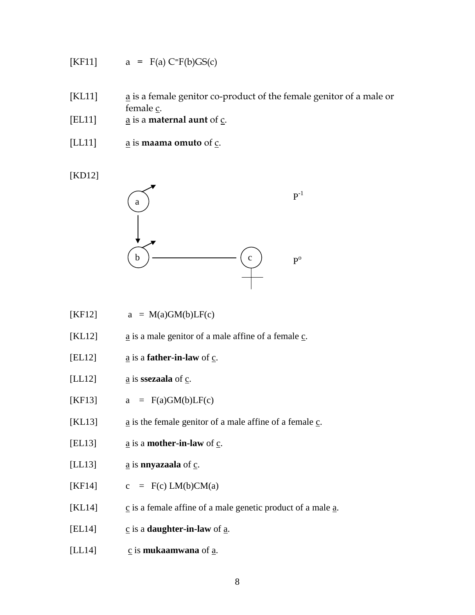$$
[KF11] \qquad a = F(a) C=F(b)GS(c)
$$

- [KL11] a is a female genitor co-product of the female genitor of a male or female c.
- [EL11] a is a **maternal aunt** of c.
- [LL11] a is **maama omuto** of c.

[KD12]



- $[KF12]$  a = M(a)GM(b)LF(c)
- [KL12]  $\qquad \qquad \underline{a}$  is a male genitor of a male affine of a female  $\underline{c}$ .
- [EL12]  $\qquad \qquad \underline{\mathbf{a}}$  is a **father-in-law** of  $\underline{\mathbf{c}}$ .
- [LL12]  $\underline{a}$  is **ssezaala** of  $\underline{c}$ .
- $[KF13]$  a = F(a)GM(b)LF(c)
- [KL13]  $\qquad \qquad \underline{a}$  is the female genitor of a male affine of a female  $\underline{c}$ .
- [EL13]  $\qquad \qquad \underline{a}$  is a **mother-in-law** of  $\underline{c}$ .
- [LL13]  $\frac{a}{a}$  is **nnyazaala** of <u>c</u>.
- [KF14]  $c = F(c) LM(b)CM(a)$
- [KL14]  $\frac{c}{n}$  is a female affine of a male genetic product of a male  $\frac{a}{n}$ .
- [EL14]  $\frac{c}{n}$  is a **daughter-in-law** of <u>a</u>.
- [LL14] c is **mukaamwana** of a.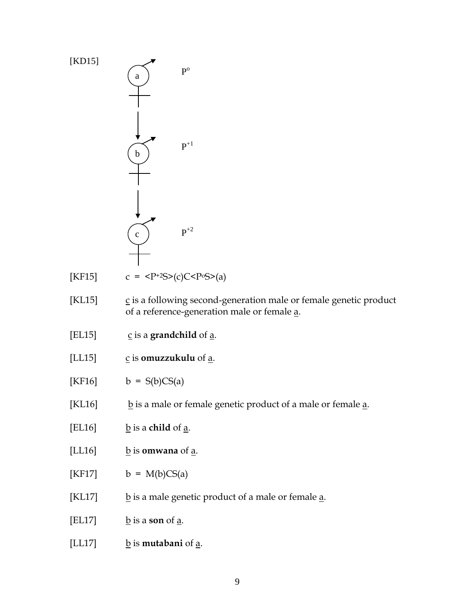

9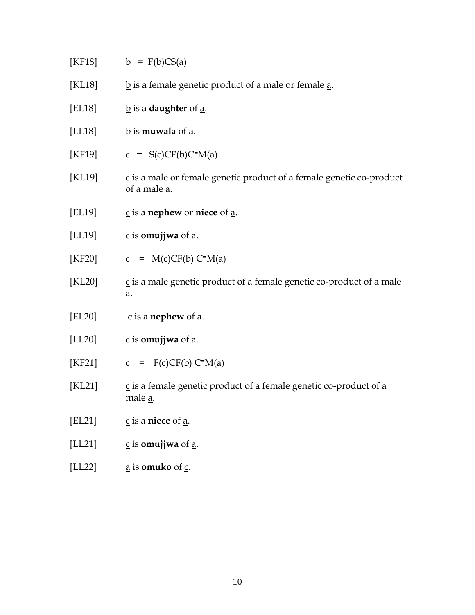|        | [KF18] $b = F(b)CS(a)$                                                                                    |
|--------|-----------------------------------------------------------------------------------------------------------|
| [KL18] | $\underline{b}$ is a female genetic product of a male or female $\underline{a}$ .                         |
| [EL18] | $\underline{b}$ is a <b>daughter</b> of $\underline{a}$ .                                                 |
| [LL18] | $\underline{b}$ is <b>muwala</b> of $\underline{a}$ .                                                     |
|        | [KF19] $c = S(c)CF(b)C=M(a)$                                                                              |
| [KL19] | $\overline{c}$ is a male or female genetic product of a female genetic co-product<br>of a male <u>a</u> . |
| [EL19] | $\underline{c}$ is a nephew or niece of <u>a</u> .                                                        |
| [LL19] | $\underline{c}$ is <b>omujjwa</b> of <u>a</u> .                                                           |
| [KF20] | $c = M(c)CF(b) C=M(a)$                                                                                    |
| [KL20] | $\underline{c}$ is a male genetic product of a female genetic co-product of a male<br><u>a</u> .          |
| [EL20] | $\underline{c}$ is a <b>nephew</b> of <u>a</u> .                                                          |
| [LL20] | $\underline{c}$ is <b>omujjwa</b> of <u>a</u> .                                                           |
| [KF21] | $c = F(c)CF(b) C=M(a)$                                                                                    |
| KL21   | $\underline{c}$ is a female genetic product of a female genetic co-product of a<br>male <u>a</u> .        |
| [EL21] | $\frac{c}{2}$ is a niece of $\frac{a}{2}$ .                                                               |
| [LL21] | $\underline{c}$ is <b>omujjwa</b> of $\underline{a}$ .                                                    |
| [LL22] | a is <b>omuko</b> of c.                                                                                   |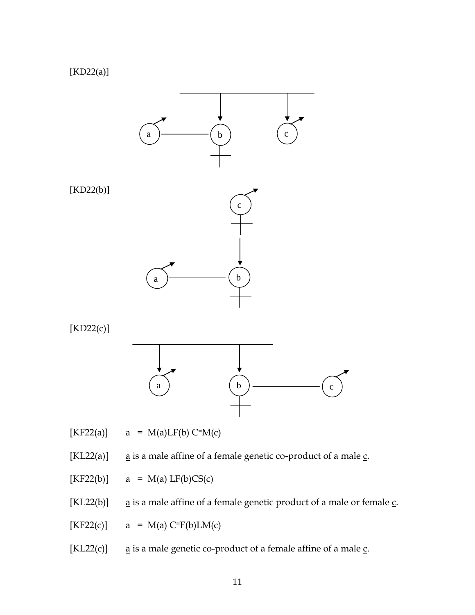# [KD22(a)]



 $[KF22(a)]$  a = M(a)LF(b) C=M(c)

[KL22(a)]  $a$  is a male affine of a female genetic co-product of a male  $\underline{c}$ .

 $[KF22(b)]$  a = M(a) LF(b)CS(c)

[KL22(b)]  $a$  is a male affine of a female genetic product of a male or female  $\underline{c}$ .

 $[KF22(c)]$  a = M(a)  $C=F(b)LM(c)$ 

[KL22(c)]  $\alpha$  is a male genetic co-product of a female affine of a male  $\underline{c}$ .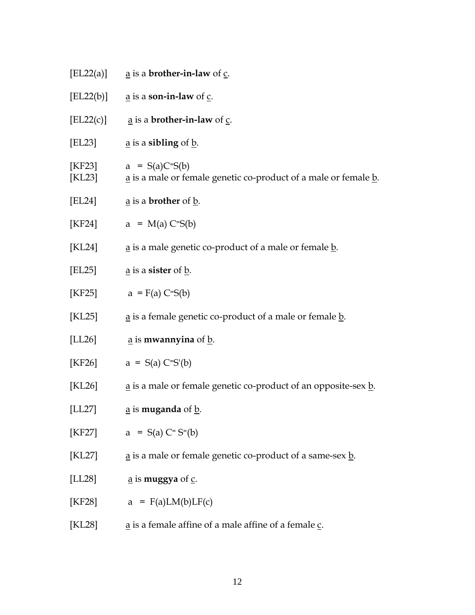|                  | [EL22(a)] $\qquad \qquad \underline{a}$ is a <b>brother-in-law</b> of $\underline{c}$ .     |
|------------------|---------------------------------------------------------------------------------------------|
|                  | [EL22(b)] $\qquad \underline{a}$ is a <b>son-in-law</b> of $\underline{c}$ .                |
| [EL22(c)]        | $\underline{a}$ is a <b>brother-in-law</b> of $\underline{c}$ .                             |
| [EL23]           | $\underline{a}$ is a sibling of $\underline{b}$ .                                           |
| [KF23]<br>[KL23] | $a = S(a)C=S(b)$<br>a is a male or female genetic co-product of a male or female b.         |
| [EL24]           | <u>a</u> is a <b>brother</b> of <u>b</u> .                                                  |
| [KF24]           | $a = M(a) C = S(b)$                                                                         |
| [KL24]           | $\underline{a}$ is a male genetic co-product of a male or female $\underline{b}$ .          |
| [EL25]           | $\underline{a}$ is a <b>sister</b> of $\underline{b}$ .                                     |
| [KF25]           | $a = F(a) C = S(b)$                                                                         |
| [KL25]           | $\underline{a}$ is a female genetic co-product of a male or female $\underline{b}$ .        |
| [LL26]           | $\underline{a}$ is mwannyina of $\underline{b}$ .                                           |
|                  | [KF26] $a = S(a) C=S'(b)$                                                                   |
| [KL26]           | $\underline{a}$ is a male or female genetic co-product of an opposite-sex $\underline{b}$ . |
| [LL27]           | $\underline{a}$ is <b>muganda</b> of $\underline{b}$ .                                      |
| [KF27]           | $a = S(a) C = S=(b)$                                                                        |
| [KL27]           | $\underline{a}$ is a male or female genetic co-product of a same-sex $\underline{b}$ .      |
| [LL28]           | $\underline{a}$ is <b>muggya</b> of $\underline{c}$ .                                       |
| [KF28]           | $a = F(a)LM(b)LF(c)$                                                                        |
| [KL28]           | $\underline{a}$ is a female affine of a male affine of a female $\underline{c}$ .           |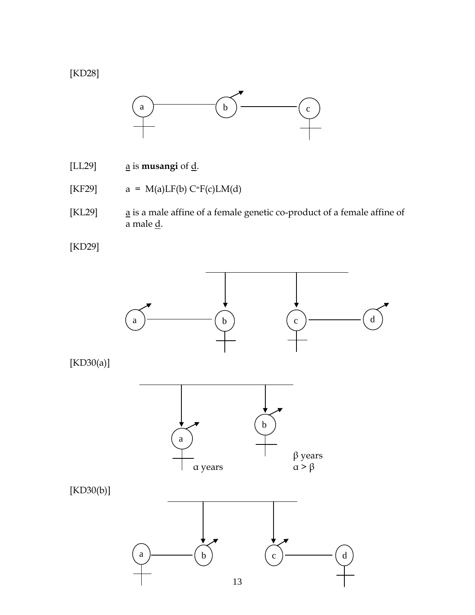[KD28]



- [LL29]  $\qquad \qquad \underline{a}$  is **musangi** of  $\underline{d}$ .
- [KF29]  $a = M(a)LF(b) C=F(c)LM(d)$
- [KL29]  $\qquad \qquad \underline{a}$  is a male affine of a female genetic co-product of a female affine of a male  $\underline{d}$ .

[KD29]

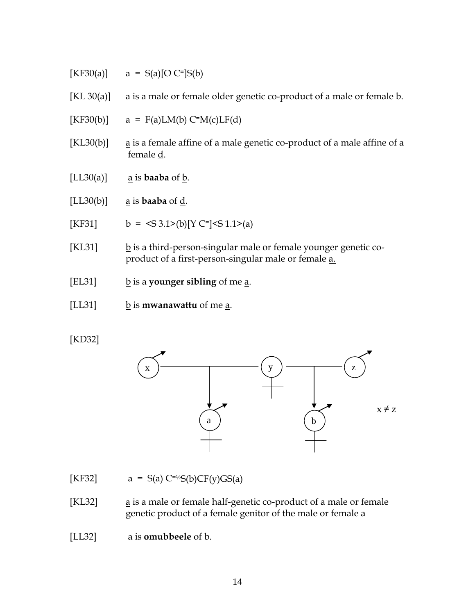- $[KF30(a)]$  a = S(a)[O C<sup>=</sup>]S(b)
- [KL 30(a)]  $\alpha$  is a male or female older genetic co-product of a male or female  $\underline{b}$ .
- $[KF30(b)]$  a = F(a)LM(b) C=M(c)LF(d)
- [KL30(b)]  $a$  is a female affine of a male genetic co-product of a male affine of a female d.
- $[LL30(a)]$  <u>a</u> is **baaba** of <u>b</u>.
- [LL30(b)] a is **baaba** of d.
- [KF31]  $b = \langle S \cdot 3.1 \rangle(b)$  [Y C<sup>=</sup>] $\langle S \cdot 1.1 \rangle(a)$
- [KL31]  $\frac{b}{2}$  is a third-person-singular male or female younger genetic coproduct of a first-person-singular male or female a.
- [EL31] b is a **younger sibling** of me a.
- [LL31] b is **mwanawattu** of me a.

## [KD32]



- [KF32]  $a = S(a) C^{-1/2}S(b)CF(y)GS(a)$
- [KL32]  $a$  is a male or female half-genetic co-product of a male or female genetic product of a female genitor of the male or female a

[LL32]  $\qquad \qquad \underline{a}$  is **omubbeele** of  $\underline{b}$ .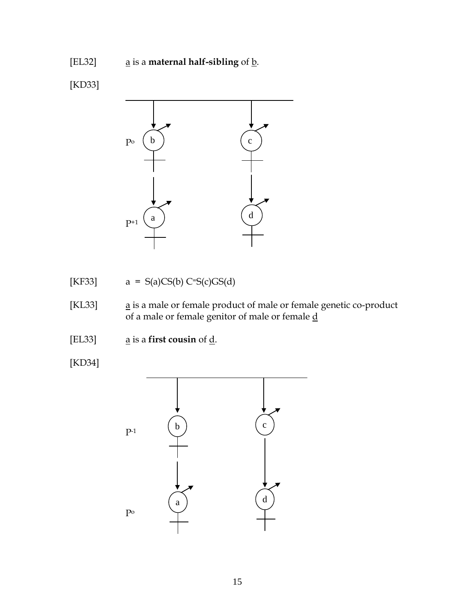# [EL32] **a** is a **maternal half-sibling** of **b**.

[KD33]



[KF33]  $a = S(a)CS(b)C=S(c)GS(d)$ 

- [KL33] a is a male or female product of male or female genetic co-product of a male or female genitor of male or female d
- [EL33]  $\underline{a}$  is a **first cousin** of <u>d</u>.
- [KD34]

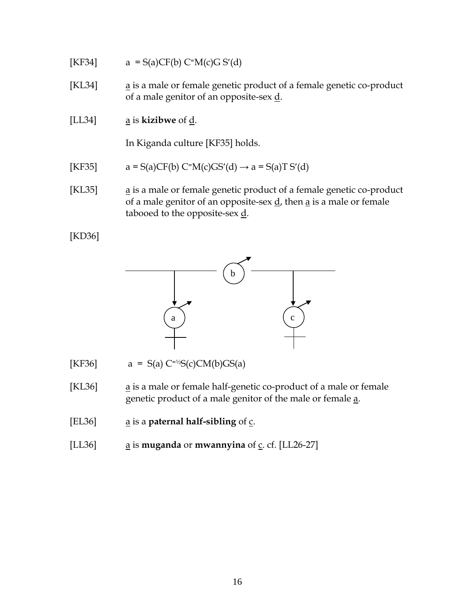[KF34] 
$$
a = S(a)CF(b) C=M(c)G S'(d)
$$

- [KL34] a is a male or female genetic product of a female genetic co-product of a male genitor of an opposite-sex  $\underline{d}$ .
- [LL34] a is **kizibwe** of d.

In Kiganda culture [KF35] holds.

- [KF35]  $a = S(a)CF(b) C=M(c)GS'(d) \rightarrow a = S(a)TS'(d)$
- [KL35]  $a$  is a male or female genetic product of a female genetic co-product of a male genitor of an opposite-sex  $d$ , then  $\underline{a}$  is a male or female tabooed to the opposite-sex  $\underline{d}$ .

[KD36]



- [KF36]  $a = S(a) C^{-1/2}S(c)CM(b)GS(a)$
- [KL36] a is a male or female half-genetic co-product of a male or female genetic product of a male genitor of the male or female a.
- [EL36] **a** is a **paternal half-sibling** of **c**.
- [LL36] **a** is **muganda** or **mwannyina** of **c**. cf. [LL26-27]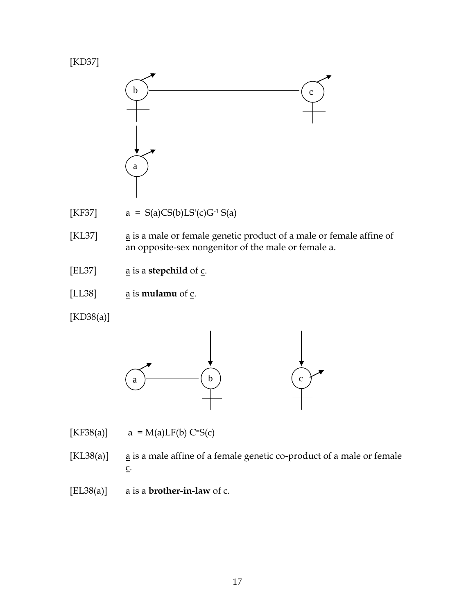



- [KF37]  $a = S(a)CS(b)LS'(c)G^{-1}S(a)$
- [KL37] a is a male or female genetic product of a male or female affine of an opposite-sex nongenitor of the male or female a.
- [EL37]  $\qquad \underline{a}$  is a **stepchild** of  $\underline{c}$ .
- [LL38]  $\qquad \qquad \underline{a}$  is **mulamu** of  $\underline{c}$ .

[KD38(a)]



[KF38(a)]  $a = M(a)LF(b) C=S(c)$ 

- [KL38(a)]  $a$  is a male affine of a female genetic co-product of a male or female  $\underline{C}$ .
- [EL38(a)]  $\qquad \underline{a}$  is a **brother-in-law** of  $\underline{c}$ .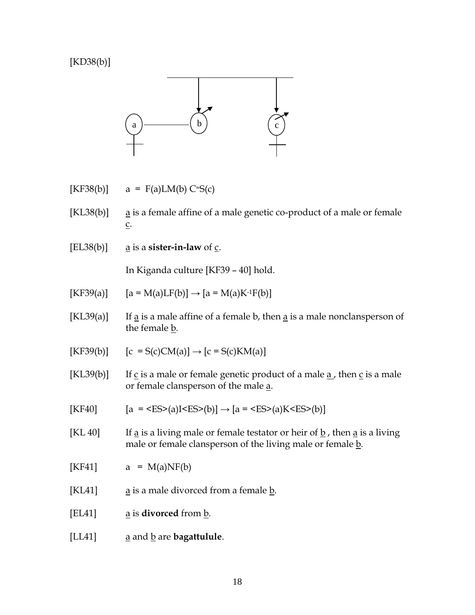[KD38(b)]



- $[KF38(b)]$  a = F(a)LM(b) C=S(c)
- [KL38(b)] a is a female affine of a male genetic co-product of a male or female c.
- [EL38(b)]  $\qquad \underline{a}$  is a **sister-in-law** of  $\underline{c}$ .

In Kiganda culture [KF39 – 40] hold.

- $[KF39(a)]$  [a = M(a)LF(b)]  $\rightarrow$  [a = M(a)K<sup>-1</sup>F(b)]
- $[KL39(a)]$  If a is a male affine of a female b, then a is a male nonclansperson of the female  $\underline{b}$ .
- $[KF39(b)]$   $[c = S(c)CM(a)] \rightarrow [c = S(c)KM(a)]$
- [KL39(b)] If  $\underline{c}$  is a male or female genetic product of a male  $\underline{a}$ , then  $\underline{c}$  is a male or female clansperson of the male a.
- $[KF40]$   $[a = (a)I< E S>(b)] \rightarrow [a = (a)K< E S>(b)]$
- [KL 40] If a is a living male or female testator or heir of  $\underline{b}$ , then a is a living male or female clansperson of the living male or female  $\underline{b}$ .
- [KF41]  $a = M(a)NF(b)$
- [KL41]  $\qquad \qquad \underline{\mathbf{a}}$  is a male divorced from a female  $\underline{\mathbf{b}}$ .
- [EL41] a is **divorced** from b.
- [LL41] **a** and **b** are **bagattulule**.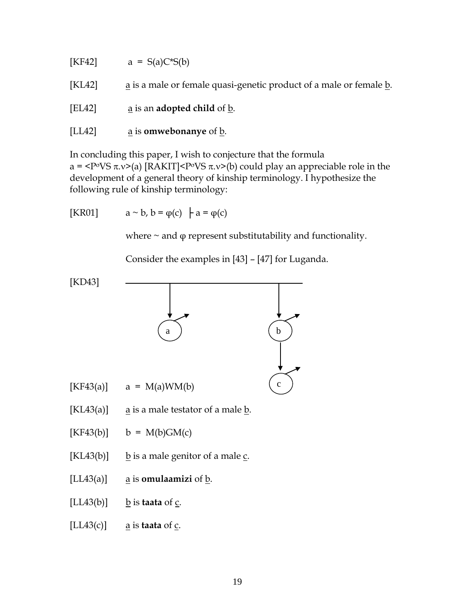| [KF42] | $a = S(a)C*S(b)$                                                   |
|--------|--------------------------------------------------------------------|
| [KL42] | a is a male or female quasi-genetic product of a male or female b. |
| [EL42] | a is an <b>adopted child</b> of b.                                 |
| [LL42] | a is <b>omwebonanye</b> of b.                                      |

In concluding this paper, I wish to conjecture that the formula a =  $\langle P^{\sigma}VS \pi \nu \rangle$  (a) [RAKIT] $\langle P^{\sigma}VS \pi \nu \rangle$  (b) could play an appreciable role in the development of a general theory of kinship terminology. I hypothesize the following rule of kinship terminology:

[KR01] 
$$
a \sim b, b = \varphi(c) \mid a = \varphi(c)
$$

where  $\sim$  and  $\varphi$  represent substitutability and functionality.

Consider the examples in [43] – [47] for Luganda.

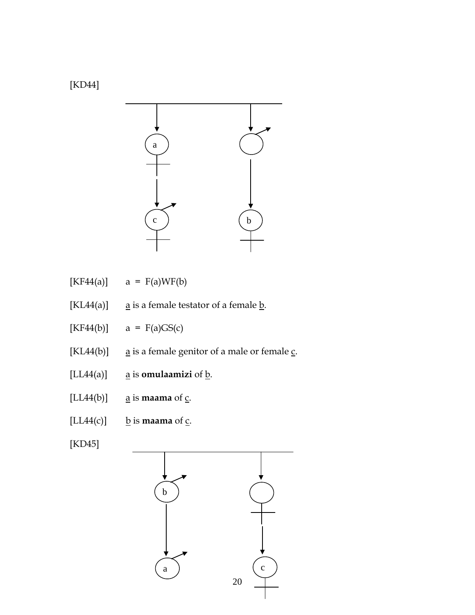



- $[KF44(a)]$  a =  $F(a)WF(b)$
- [KL44(a)]  $\qquad \underline{a}$  is a female testator of a female  $\underline{b}$ .
- $[KF44(b)]$  a =  $F(a)GS(c)$
- [KL44(b)]  $\qquad \underline{a}$  is a female genitor of a male or female  $\underline{c}$ .
- $[LLA4(a)]$  <u>a</u> is **omulaamizi** of <u>b</u>.
- $[LL44(b)]$  <u>a</u> is **maama** of <u>c</u>.
- $[LLA4(c)]$  **b** is **maama** of <u>c</u>.

[KD45]

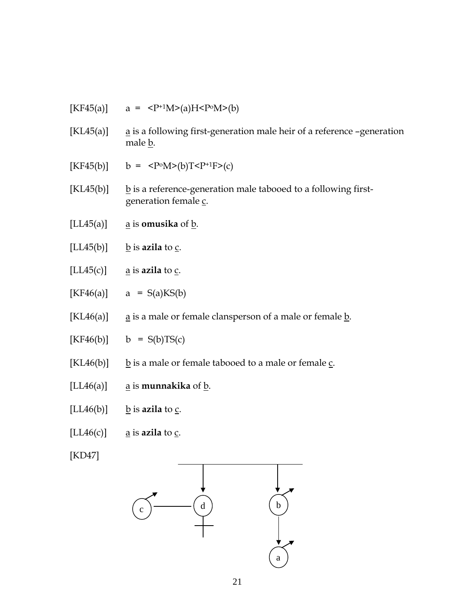| [KF45(a)]                       | $a = P+1M>(a)HP0M>(b)$                                                                                  |
|---------------------------------|---------------------------------------------------------------------------------------------------------|
| $\left[ \text{KL45}(a) \right]$ | $\underline{a}$ is a following first-generation male heir of a reference -generation<br>male <u>b</u> . |
| [KF45(b)]                       | $b = P°M>(b)TP+1F>(c)$                                                                                  |
| $\left[ \text{KL45(b)} \right]$ | $\underline{b}$ is a reference-generation male tabooed to a following first-<br>generation female c.    |
| [LL45(a)]                       | $\underline{a}$ is <b>omusika</b> of $\underline{b}$ .                                                  |
| [LL45(b)]                       | $\underline{b}$ is azila to $\underline{c}$ .                                                           |
| [LL45(c)]                       | $\underline{a}$ is azila to $\underline{c}$ .                                                           |
| [KF46(a)]                       | $a = S(a)KS(b)$                                                                                         |
| $\left[ \text{KL}46(a) \right]$ | $\underline{a}$ is a male or female clansperson of a male or female $\underline{b}$ .                   |
| [KF46(b)]                       | $b = S(b)TS(c)$                                                                                         |
| $\left[ \text{KL46(b)} \right]$ | $\underline{b}$ is a male or female tabooed to a male or female $\underline{c}$ .                       |
| [LL46(a)]                       | $\underline{a}$ is <b>munnakika</b> of $\underline{b}$ .                                                |
| [LL46(b)]                       | b is azila to c.                                                                                        |
| [LL46(c)]                       | $\underline{a}$ is azila to $\underline{c}$ .                                                           |

[KD47]

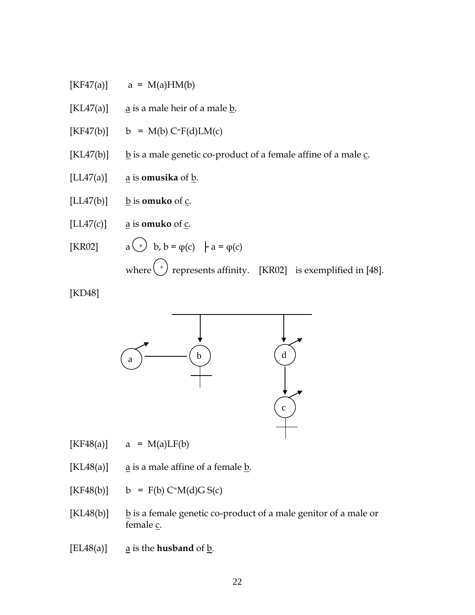- $[KF47(a)]$  a = M(a)HM(b)
- [KL47(a)]  $\qquad \underline{a}$  is a male heir of a male  $\underline{b}$ .
- $[KF47(b)]$  b = M(b) C=F(d)LM(c)
- [KL47(b)]  $\underline{b}$  is a male genetic co-product of a female affine of a male c.
- $[LL47(a)]$  a is **omusika** of b.
- $[LL47(b)]$  **b** is **omuko** of <u>c</u>.
- $[LLA7(c)]$  <u>a</u> is **omuko** of <u>c</u>.
- [KR02]  $a \rightarrow b$ ,  $b = \varphi(c) + a = \varphi(c)$ where  $\left( \begin{array}{c} + \end{array} \right)$  represents affinity. [KR02] is exemplified in [48].

[KD48]



 $[KF48(a)]$  a = M(a)LF(b)

- [KL48(a)]  $\qquad \qquad \text{a}$  is a male affine of a female b.
- $[KF48(b)]$  b = F(b) C=M(d)G S(c)
- [KL48(b)]  $\underline{b}$  is a female genetic co-product of a male genitor of a male or female c.
- $[EL48(a)]$  <u>a</u> is the **husband** of **b**.